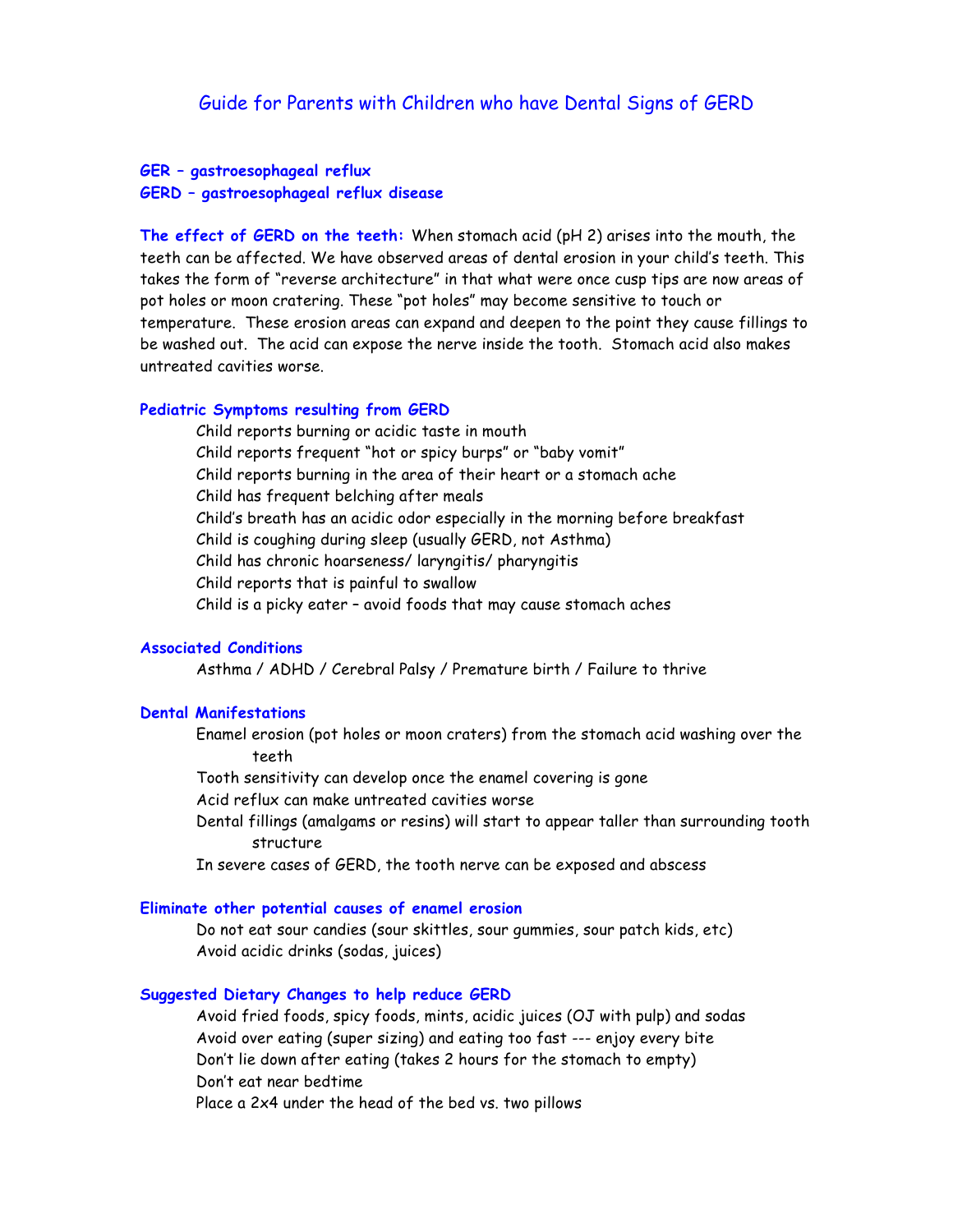# **GER – gastroesophageal reflux GERD – gastroesophageal reflux disease**

**The effect of GERD on the teeth:** When stomach acid (pH 2) arises into the mouth, the teeth can be affected. We have observed areas of dental erosion in your child's teeth. This takes the form of "reverse architecture" in that what were once cusp tips are now areas of pot holes or moon cratering. These "pot holes" may become sensitive to touch or temperature. These erosion areas can expand and deepen to the point they cause fillings to be washed out. The acid can expose the nerve inside the tooth. Stomach acid also makes untreated cavities worse.

## **Pediatric Symptoms resulting from GERD**

Child reports burning or acidic taste in mouth Child reports frequent "hot or spicy burps" or "baby vomit" Child reports burning in the area of their heart or a stomach ache Child has frequent belching after meals Child's breath has an acidic odor especially in the morning before breakfast Child is coughing during sleep (usually GERD, not Asthma) Child has chronic hoarseness/ laryngitis/ pharyngitis Child reports that is painful to swallow Child is a picky eater – avoid foods that may cause stomach aches

## **Associated Conditions**

Asthma / ADHD / Cerebral Palsy / Premature birth / Failure to thrive

#### **Dental Manifestations**

Enamel erosion (pot holes or moon craters) from the stomach acid washing over the teeth

Tooth sensitivity can develop once the enamel covering is gone

Acid reflux can make untreated cavities worse

Dental fillings (amalgams or resins) will start to appear taller than surrounding tooth structure

In severe cases of GERD, the tooth nerve can be exposed and abscess

## **Eliminate other potential causes of enamel erosion**

Do not eat sour candies (sour skittles, sour gummies, sour patch kids, etc) Avoid acidic drinks (sodas, juices)

#### **Suggested Dietary Changes to help reduce GERD**

Avoid fried foods, spicy foods, mints, acidic juices (OJ with pulp) and sodas Avoid over eating (super sizing) and eating too fast --- enjoy every bite Don't lie down after eating (takes 2 hours for the stomach to empty) Don't eat near bedtime Place a 2x4 under the head of the bed vs. two pillows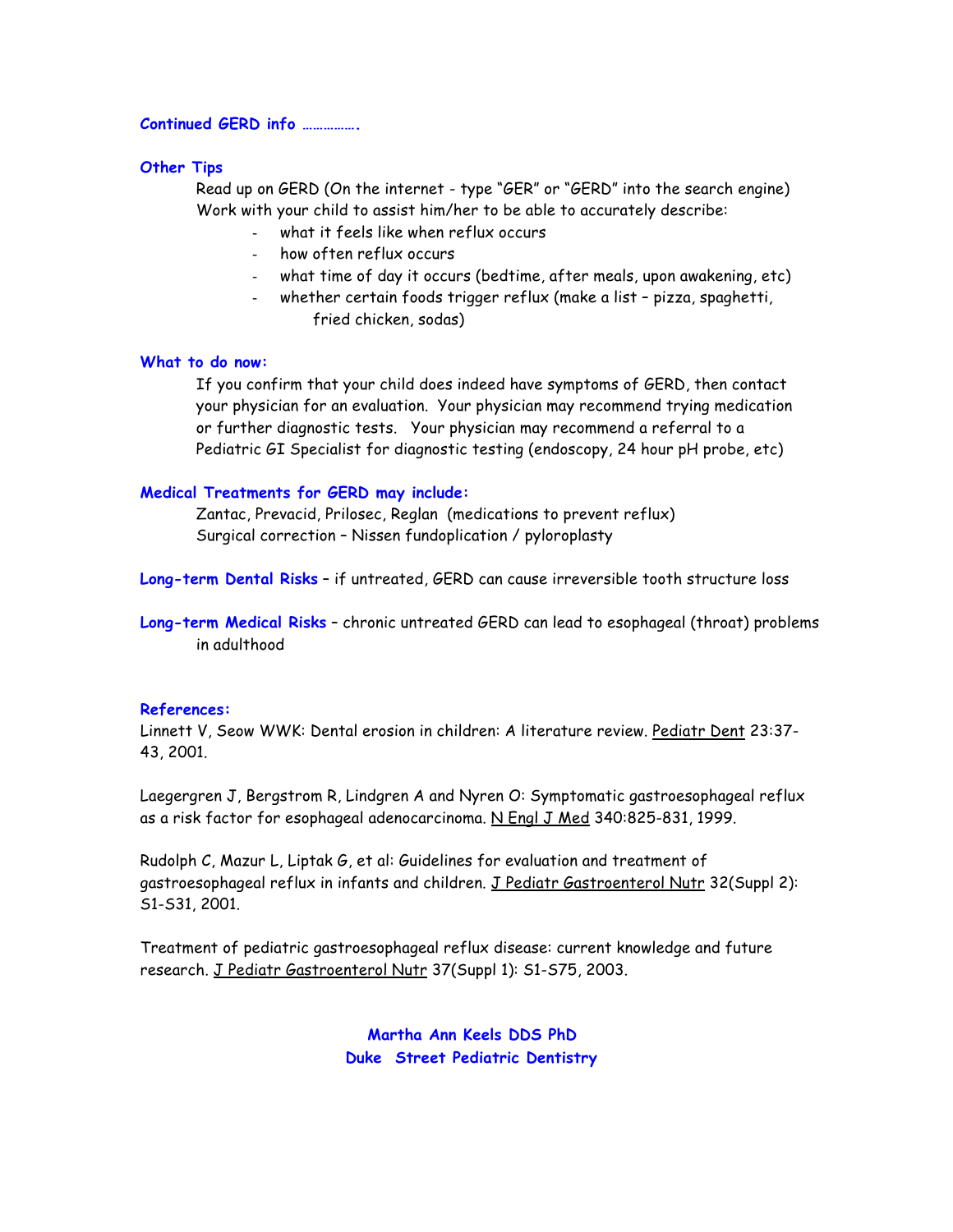#### **Continued GERD info …………….**

#### **Other Tips**

Read up on GERD (On the internet - type "GER" or "GERD" into the search engine) Work with your child to assist him/her to be able to accurately describe:

- what it feels like when reflux occurs
- how often reflux occurs
- what time of day it occurs (bedtime, after meals, upon awakening, etc)
- whether certain foods trigger reflux (make a list pizza, spaghetti, fried chicken, sodas)

#### **What to do now:**

If you confirm that your child does indeed have symptoms of GERD, then contact your physician for an evaluation. Your physician may recommend trying medication or further diagnostic tests. Your physician may recommend a referral to a Pediatric GI Specialist for diagnostic testing (endoscopy, 24 hour pH probe, etc)

#### **Medical Treatments for GERD may include:**

Zantac, Prevacid, Prilosec, Reglan (medications to prevent reflux) Surgical correction – Nissen fundoplication / pyloroplasty

**Long-term Dental Risks** – if untreated, GERD can cause irreversible tooth structure loss

**Long-term Medical Risks** – chronic untreated GERD can lead to esophageal (throat) problems in adulthood

### **References:**

Linnett V, Seow WWK: Dental erosion in children: A literature review. Pediatr Dent 23:37- 43, 2001.

Laegergren J, Bergstrom R, Lindgren A and Nyren O: Symptomatic gastroesophageal reflux as a risk factor for esophageal adenocarcinoma. N Engl J Med 340:825-831, 1999.

Rudolph C, Mazur L, Liptak G, et al: Guidelines for evaluation and treatment of gastroesophageal reflux in infants and children. J Pediatr Gastroenterol Nutr 32(Suppl 2): S1-S31, 2001.

Treatment of pediatric gastroesophageal reflux disease: current knowledge and future research. J Pediatr Gastroenterol Nutr 37(Suppl 1): S1-S75, 2003.

> **Martha Ann Keels DDS PhD Duke Street Pediatric Dentistry**